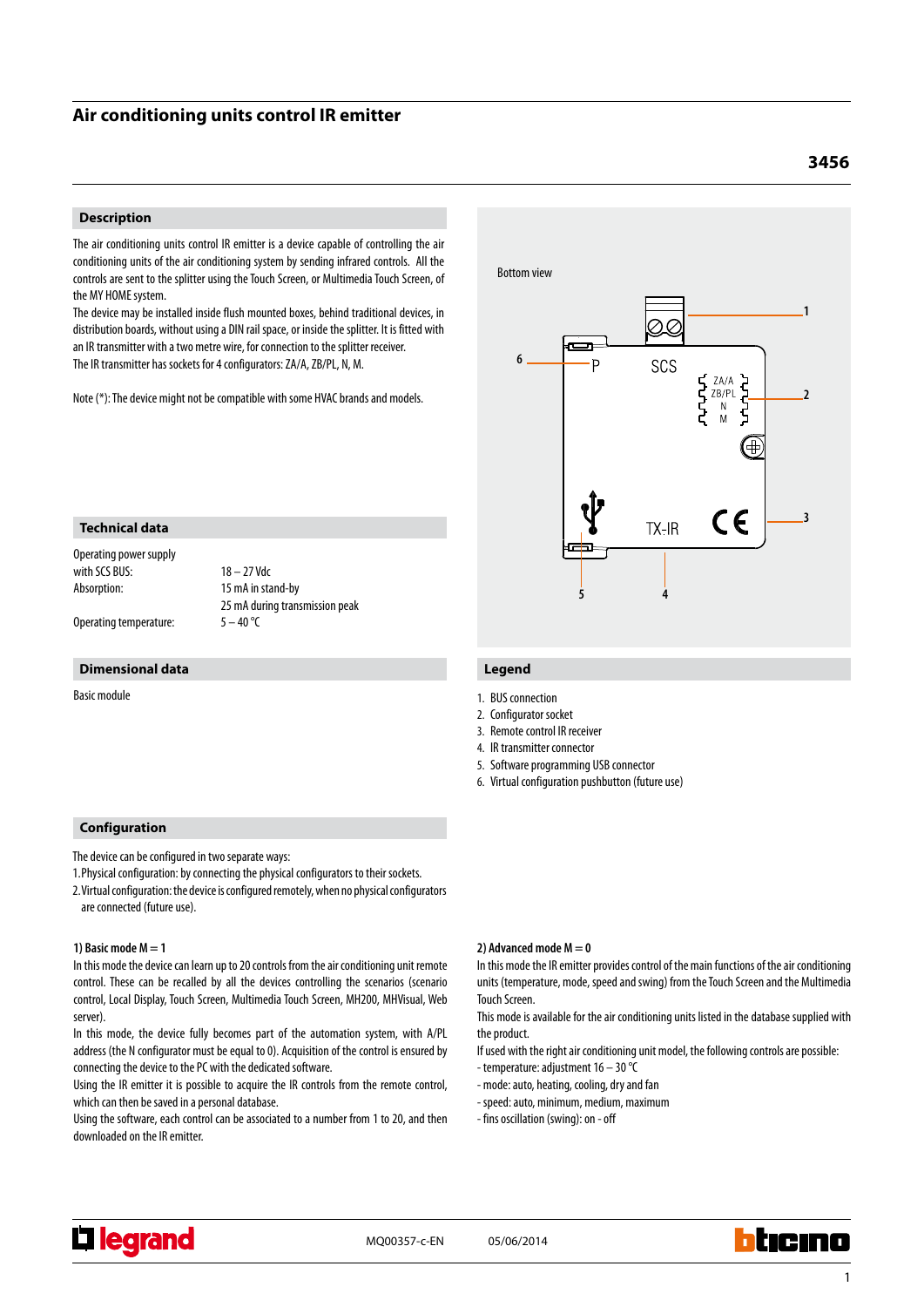## **Air conditioning units control IR emitter**

#### **Description**

The air conditioning units control IR emitter is a device capable of controlling the air conditioning units of the air conditioning system by sending infrared controls. All the controls are sent to the splitter using the Touch Screen, or Multimedia Touch Screen, of the MY HOME system.

The device may be installed inside flush mounted boxes, behind traditional devices, in distribution boards, without using a DIN rail space, or inside the splitter. It is fitted with an IR transmitter with a two metre wire, for connection to the splitter receiver. The IR transmitter has sockets for 4 configurators: ZA/A, ZB/PL, N, M.

Note (\*): The device might not be compatible with some HVAC brands and models.

# Bottom view **1** Q **6** SCS ٠D  $\begin{array}{c}\nZA/A \\
ZB/PL\n\end{array}$ ነታት **2**  $\epsilon$ **3**  $TX$ -IR **5 4**

Operating temperature:  $5 - 40$  °C

**Technical data** Operating power supply

with SCS BUS:  $18 - 27$  Vdc Absorption: 15 mA in stand-by 25 mA during transmission peak

#### **Dimensional data**

Basic module

### **Configuration**

The device can be configured in two separate ways:

1.Physical configuration: by connecting the physical configurators to their sockets.

2.Virtual configuration: the device is configured remotely, when no physical configurators are connected (future use).

#### **1) Basic mode M = 1**

In this mode the device can learn up to 20 controls from the air conditioning unit remote control. These can be recalled by all the devices controlling the scenarios (scenario control, Local Display, Touch Screen, Multimedia Touch Screen, MH200, MHVisual, Web server).

In this mode, the device fully becomes part of the automation system, with A/PL address (the N configurator must be equal to 0). Acquisition of the control is ensured by connecting the device to the PC with the dedicated software.

Using the IR emitter it is possible to acquire the IR controls from the remote control, which can then be saved in a personal database.

Using the software, each control can be associated to a number from 1 to 20, and then downloaded on the IR emitter.

### **Legend**

- 1. BUS connection
- 2. Configurator socket
- 3. Remote control IR receiver
- 4. IR transmitter connector
- 5. Software programming USB connector
- 6. Virtual configuration pushbutton (future use)

#### **2) Advanced mode M = 0**

In this mode the IR emitter provides control of the main functions of the air conditioning units (temperature, mode, speed and swing) from the Touch Screen and the Multimedia Touch Screen.

This mode is available for the air conditioning units listed in the database supplied with the product.

If used with the right air conditioning unit model, the following controls are possible:

- temperature: adjustment 16 30 °C
- mode: auto, heating, cooling, dry and fan
- speed: auto, minimum, medium, maximum
- fins oscillation (swing): on off



MQ00357-c-EN 05/06/2014